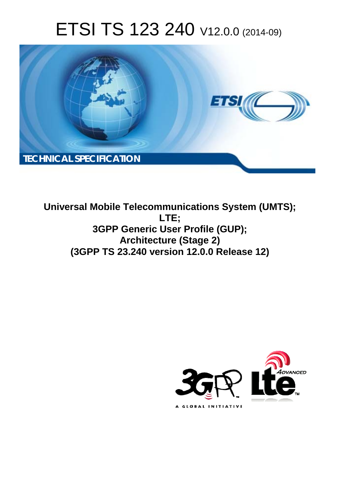# ETSI TS 123 240 V12.0.0 (2014-09)



**Universal Mobile Telecommunications System (UMTS); LTE; 3GPP Generic User Profile (GUP); Architecture (Stage 2) (3GPP TS 23.240 version 12.0.0 Release 12)** 

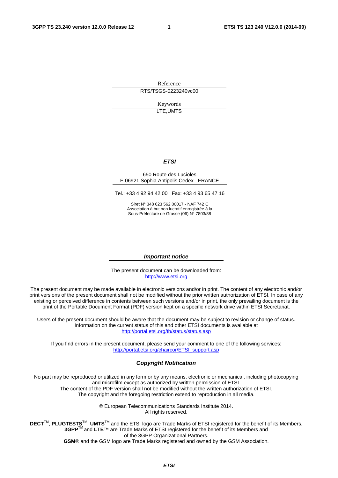Reference RTS/TSGS-0223240vc00

> Keywords LTE,UMTS

#### *ETSI*

#### 650 Route des Lucioles F-06921 Sophia Antipolis Cedex - FRANCE

Tel.: +33 4 92 94 42 00 Fax: +33 4 93 65 47 16

Siret N° 348 623 562 00017 - NAF 742 C Association à but non lucratif enregistrée à la Sous-Préfecture de Grasse (06) N° 7803/88

#### *Important notice*

The present document can be downloaded from: [http://www.etsi.org](http://www.etsi.org/)

The present document may be made available in electronic versions and/or in print. The content of any electronic and/or print versions of the present document shall not be modified without the prior written authorization of ETSI. In case of any existing or perceived difference in contents between such versions and/or in print, the only prevailing document is the print of the Portable Document Format (PDF) version kept on a specific network drive within ETSI Secretariat.

Users of the present document should be aware that the document may be subject to revision or change of status. Information on the current status of this and other ETSI documents is available at <http://portal.etsi.org/tb/status/status.asp>

If you find errors in the present document, please send your comment to one of the following services: [http://portal.etsi.org/chaircor/ETSI\\_support.asp](http://portal.etsi.org/chaircor/ETSI_support.asp)

#### *Copyright Notification*

No part may be reproduced or utilized in any form or by any means, electronic or mechanical, including photocopying and microfilm except as authorized by written permission of ETSI.

The content of the PDF version shall not be modified without the written authorization of ETSI. The copyright and the foregoing restriction extend to reproduction in all media.

> © European Telecommunications Standards Institute 2014. All rights reserved.

**DECT**TM, **PLUGTESTS**TM, **UMTS**TM and the ETSI logo are Trade Marks of ETSI registered for the benefit of its Members. **3GPP**TM and **LTE**™ are Trade Marks of ETSI registered for the benefit of its Members and of the 3GPP Organizational Partners.

**GSM**® and the GSM logo are Trade Marks registered and owned by the GSM Association.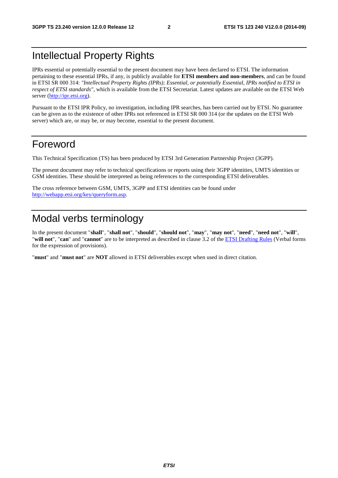# Intellectual Property Rights

IPRs essential or potentially essential to the present document may have been declared to ETSI. The information pertaining to these essential IPRs, if any, is publicly available for **ETSI members and non-members**, and can be found in ETSI SR 000 314: *"Intellectual Property Rights (IPRs); Essential, or potentially Essential, IPRs notified to ETSI in respect of ETSI standards"*, which is available from the ETSI Secretariat. Latest updates are available on the ETSI Web server [\(http://ipr.etsi.org](http://webapp.etsi.org/IPR/home.asp)).

Pursuant to the ETSI IPR Policy, no investigation, including IPR searches, has been carried out by ETSI. No guarantee can be given as to the existence of other IPRs not referenced in ETSI SR 000 314 (or the updates on the ETSI Web server) which are, or may be, or may become, essential to the present document.

# Foreword

This Technical Specification (TS) has been produced by ETSI 3rd Generation Partnership Project (3GPP).

The present document may refer to technical specifications or reports using their 3GPP identities, UMTS identities or GSM identities. These should be interpreted as being references to the corresponding ETSI deliverables.

The cross reference between GSM, UMTS, 3GPP and ETSI identities can be found under [http://webapp.etsi.org/key/queryform.asp.](http://webapp.etsi.org/key/queryform.asp)

# Modal verbs terminology

In the present document "**shall**", "**shall not**", "**should**", "**should not**", "**may**", "**may not**", "**need**", "**need not**", "**will**", "**will not**", "**can**" and "**cannot**" are to be interpreted as described in clause 3.2 of the [ETSI Drafting Rules](http://portal.etsi.org/Help/editHelp!/Howtostart/ETSIDraftingRules.aspx) (Verbal forms for the expression of provisions).

"**must**" and "**must not**" are **NOT** allowed in ETSI deliverables except when used in direct citation.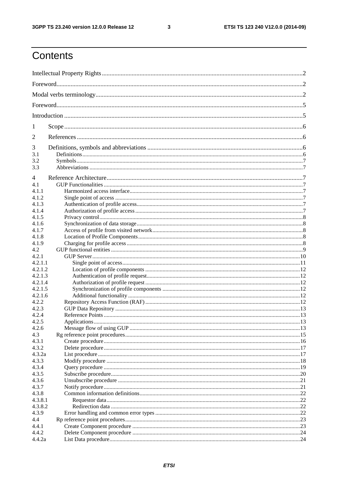$\mathbf{3}$ 

# Contents

| 1       |  |  |
|---------|--|--|
| 2       |  |  |
| 3       |  |  |
| 3.1     |  |  |
| 3.2     |  |  |
| 3.3     |  |  |
| 4       |  |  |
| 4.1     |  |  |
| 4.1.1   |  |  |
| 4.1.2   |  |  |
|         |  |  |
| 4.1.3   |  |  |
| 4.1.4   |  |  |
| 4.1.5   |  |  |
| 4.1.6   |  |  |
| 4.1.7   |  |  |
| 4.1.8   |  |  |
| 4.1.9   |  |  |
| 4.2     |  |  |
| 4.2.1   |  |  |
| 4.2.1.1 |  |  |
| 4.2.1.2 |  |  |
| 4.2.1.3 |  |  |
| 4.2.1.4 |  |  |
| 4.2.1.5 |  |  |
| 4.2.1.6 |  |  |
| 4.2.2   |  |  |
| 4.2.3   |  |  |
| 4.2.4   |  |  |
| 4.2.5   |  |  |
| 4.2.6   |  |  |
| 4.3     |  |  |
|         |  |  |
| 4.3.1   |  |  |
| 4.3.2   |  |  |
| 4.3.2a  |  |  |
| 4.3.3   |  |  |
| 4.3.4   |  |  |
| 4.3.5   |  |  |
| 4.3.6   |  |  |
| 4.3.7   |  |  |
| 4.3.8   |  |  |
| 4.3.8.1 |  |  |
| 4.3.8.2 |  |  |
| 4.3.9   |  |  |
| 4.4     |  |  |
| 4.4.1   |  |  |
| 4.4.2   |  |  |
| 4.4.2a  |  |  |
|         |  |  |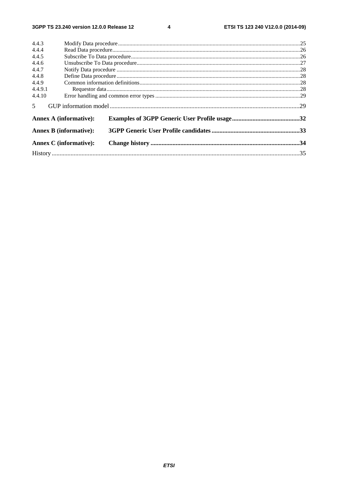$\overline{\mathbf{4}}$ 

| 4.4.3          |                               |  |
|----------------|-------------------------------|--|
| 4.4.4          |                               |  |
| 4.4.5          |                               |  |
| 4.4.6          |                               |  |
| 4.4.7          |                               |  |
| 4.4.8          |                               |  |
| 4.4.9          |                               |  |
| 4.4.9.1        |                               |  |
| 4.4.10         |                               |  |
| 5 <sup>7</sup> |                               |  |
|                | <b>Annex A (informative):</b> |  |
|                | <b>Annex B</b> (informative): |  |
|                | <b>Annex C</b> (informative): |  |
|                |                               |  |
|                |                               |  |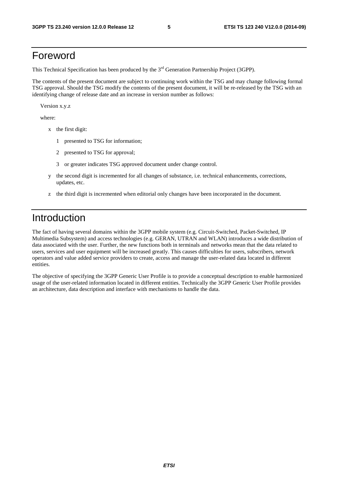# Foreword

This Technical Specification has been produced by the 3<sup>rd</sup> Generation Partnership Project (3GPP).

The contents of the present document are subject to continuing work within the TSG and may change following formal TSG approval. Should the TSG modify the contents of the present document, it will be re-released by the TSG with an identifying change of release date and an increase in version number as follows:

Version x.y.z

where:

- x the first digit:
	- 1 presented to TSG for information;
	- 2 presented to TSG for approval;
	- 3 or greater indicates TSG approved document under change control.
- y the second digit is incremented for all changes of substance, i.e. technical enhancements, corrections, updates, etc.
- z the third digit is incremented when editorial only changes have been incorporated in the document.

# Introduction

The fact of having several domains within the 3GPP mobile system (e.g. Circuit-Switched, Packet-Switched, IP Multimedia Subsystem) and access technologies (e.g. GERAN, UTRAN and WLAN) introduces a wide distribution of data associated with the user. Further, the new functions both in terminals and networks mean that the data related to users, services and user equipment will be increased greatly. This causes difficulties for users, subscribers, network operators and value added service providers to create, access and manage the user-related data located in different entities.

The objective of specifying the 3GPP Generic User Profile is to provide a conceptual description to enable harmonized usage of the user-related information located in different entities. Technically the 3GPP Generic User Profile provides an architecture, data description and interface with mechanisms to handle the data.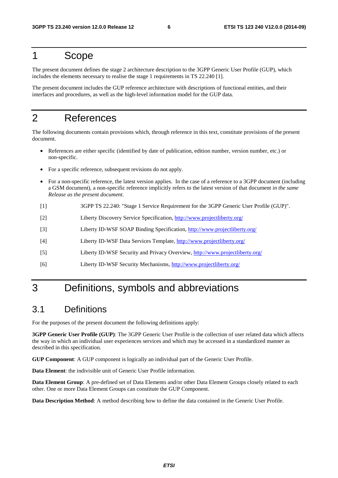# 1 Scope

The present document defines the stage 2 architecture description to the 3GPP Generic User Profile (GUP), which includes the elements necessary to realise the stage 1 requirements in TS 22.240 [1].

The present document includes the GUP reference architecture with descriptions of functional entities, and their interfaces and procedures, as well as the high-level information model for the GUP data.

# 2 References

The following documents contain provisions which, through reference in this text, constitute provisions of the present document.

- References are either specific (identified by date of publication, edition number, version number, etc.) or non-specific.
- For a specific reference, subsequent revisions do not apply.
- For a non-specific reference, the latest version applies. In the case of a reference to a 3GPP document (including a GSM document), a non-specific reference implicitly refers to the latest version of that document *in the same Release as the present document*.
- [1] 3GPP TS 22.240: "Stage 1 Service Requirement for the 3GPP Generic User Profile (GUP)".
- [2] Liberty Discovery Service Specification,<http://www.projectliberty.org/>
- [3] Liberty ID-WSF SOAP Binding Specification,<http://www.projectliberty.org/>
- [4] Liberty ID-WSF Data Services Template,<http://www.projectliberty.org/>
- [5] Liberty ID-WSF Security and Privacy Overview,<http://www.projectliberty.org/>
- [6] Liberty ID-WSF Security Mechanisms,<http://www.projectliberty.org/>

# 3 Definitions, symbols and abbreviations

### 3.1 Definitions

For the purposes of the present document the following definitions apply:

**3GPP Generic User Profile (GUP)**: The 3GPP Generic User Profile is the collection of user related data which affects the way in which an individual user experiences services and which may be accessed in a standardized manner as described in this specification.

**GUP Component**: A GUP component is logically an individual part of the Generic User Profile.

**Data Element**: the indivisible unit of Generic User Profile information.

**Data Element Group**: A pre-defined set of Data Elements and/or other Data Element Groups closely related to each other. One or more Data Element Groups can constitute the GUP Component.

**Data Description Method**: A method describing how to define the data contained in the Generic User Profile.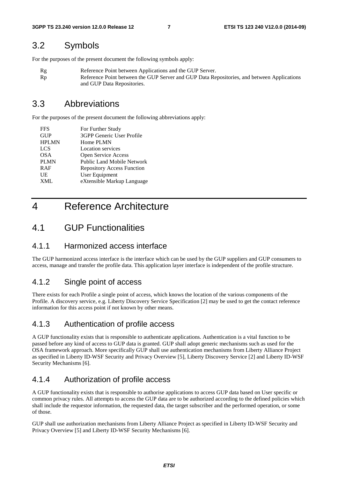### 3.2 Symbols

For the purposes of the present document the following symbols apply:

Rg Reference Point between Applications and the GUP Server. Rp Reference Point between the GUP Server and GUP Data Repositories, and between Applications and GUP Data Repositories.

### 3.3 Abbreviations

For the purposes of the present document the following abbreviations apply:

| <b>FFS</b>   | For Further Study                 |
|--------------|-----------------------------------|
| <b>GUP</b>   | 3GPP Generic User Profile         |
| <b>HPLMN</b> | Home PLMN                         |
| <b>LCS</b>   | <b>Location services</b>          |
| <b>OSA</b>   | Open Service Access               |
| <b>PLMN</b>  | <b>Public Land Mobile Network</b> |
| <b>RAF</b>   | <b>Repository Access Function</b> |
| UE           | User Equipment                    |
| <b>XML</b>   | eXtensible Markup Language        |
|              |                                   |

# 4 Reference Architecture

### 4.1 GUP Functionalities

### 4.1.1 Harmonized access interface

The GUP harmonized access interface is the interface which can be used by the GUP suppliers and GUP consumers to access, manage and transfer the profile data. This application layer interface is independent of the profile structure.

### 4.1.2 Single point of access

There exists for each Profile a single point of access, which knows the location of the various components of the Profile. A discovery service, e.g. Liberty Discovery Service Specification [2] may be used to get the contact reference information for this access point if not known by other means.

### 4.1.3 Authentication of profile access

A GUP functionality exists that is responsible to authenticate applications. Authentication is a vital function to be passed before any kind of access to GUP data is granted. GUP shall adopt generic mechanisms such as used for the OSA framework approach. More specifically GUP shall use authentication mechanisms from Liberty Alliance Project as specified in Liberty ID-WSF Security and Privacy Overview [5], Liberty Discovery Service [2] and Liberty ID-WSF Security Mechanisms [6].

### 4.1.4 Authorization of profile access

A GUP functionality exists that is responsible to authorise applications to access GUP data based on User specific or common privacy rules. All attempts to access the GUP data are to be authorized according to the defined policies which shall include the requestor information, the requested data, the target subscriber and the performed operation, or some of those.

GUP shall use authorization mechanisms from Liberty Alliance Project as specified in Liberty ID-WSF Security and Privacy Overview [5] and Liberty ID-WSF Security Mechanisms [6].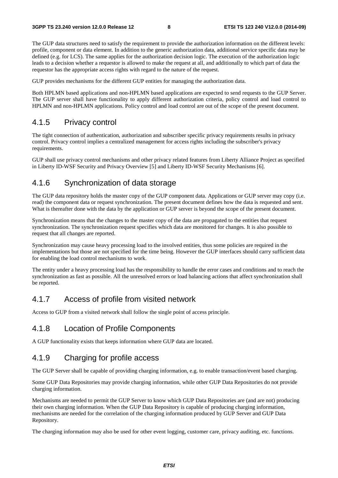The GUP data structures need to satisfy the requirement to provide the authorization information on the different levels: profile, component or data element. In addition to the generic authorization data, additional service specific data may be defined (e.g. for LCS). The same applies for the authorization decision logic. The execution of the authorization logic leads to a decision whether a requestor is allowed to make the request at all, and additionally to which part of data the requestor has the appropriate access rights with regard to the nature of the request.

GUP provides mechanisms for the different GUP entities for managing the authorization data.

Both HPLMN based applications and non-HPLMN based applications are expected to send requests to the GUP Server. The GUP server shall have functionality to apply different authorization criteria, policy control and load control to HPLMN and non-HPLMN applications. Policy control and load control are out of the scope of the present document.

### 4.1.5 Privacy control

The tight connection of authentication, authorization and subscriber specific privacy requirements results in privacy control. Privacy control implies a centralized management for access rights including the subscriber's privacy requirements.

GUP shall use privacy control mechanisms and other privacy related features from Liberty Alliance Project as specified in Liberty ID-WSF Security and Privacy Overview [5] and Liberty ID-WSF Security Mechanisms [6].

### 4.1.6 Synchronization of data storage

The GUP data repository holds the master copy of the GUP component data. Applications or GUP server may copy (i.e. read) the component data or request synchronization. The present document defines how the data is requested and sent. What is thereafter done with the data by the application or GUP server is beyond the scope of the present document.

Synchronization means that the changes to the master copy of the data are propagated to the entities that request synchronization. The synchronization request specifies which data are monitored for changes. It is also possible to request that all changes are reported.

Synchronization may cause heavy processing load to the involved entities, thus some policies are required in the implementations but those are not specified for the time being. However the GUP interfaces should carry sufficient data for enabling the load control mechanisms to work.

The entity under a heavy processing load has the responsibility to handle the error cases and conditions and to reach the synchronization as fast as possible. All the unresolved errors or load balancing actions that affect synchronization shall be reported.

### 4.1.7 Access of profile from visited network

Access to GUP from a visited network shall follow the single point of access principle.

### 4.1.8 Location of Profile Components

A GUP functionality exists that keeps information where GUP data are located.

### 4.1.9 Charging for profile access

The GUP Server shall be capable of providing charging information, e.g. to enable transaction/event based charging.

Some GUP Data Repositories may provide charging information, while other GUP Data Repositories do not provide charging information.

Mechanisms are needed to permit the GUP Server to know which GUP Data Repositories are (and are not) producing their own charging information. When the GUP Data Repository is capable of producing charging information, mechanisms are needed for the correlation of the charging information produced by GUP Server and GUP Data Repository.

The charging information may also be used for other event logging, customer care, privacy auditing, etc. functions.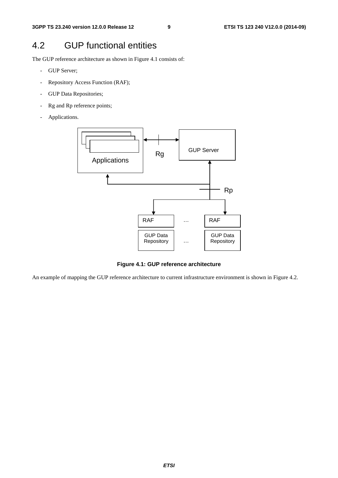# 4.2 GUP functional entities

The GUP reference architecture as shown in Figure 4.1 consists of:

- GUP Server;
- Repository Access Function (RAF);
- GUP Data Repositories;
- Rg and Rp reference points;
- Applications.



**Figure 4.1: GUP reference architecture** 

An example of mapping the GUP reference architecture to current infrastructure environment is shown in Figure 4.2.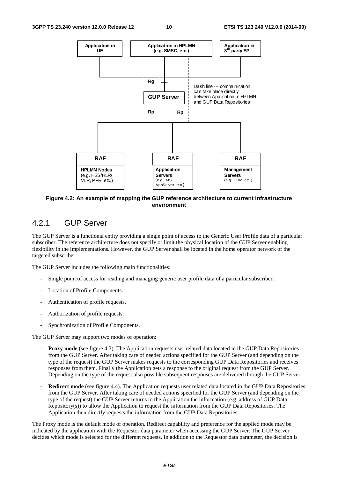

**Figure 4.2: An example of mapping the GUP reference architecture to current infrastructure environment** 

### 4.2.1 GUP Server

The GUP Server is a functional entity providing a single point of access to the Generic User Profile data of a particular subscriber. The reference architecture does not specify or limit the physical location of the GUP Server enabling flexibility in the implementations. However, the GUP Server shall be located in the home operator network of the targeted subscriber.

The GUP Server includes the following main functionalities:

- Single point of access for reading and managing generic user profile data of a particular subscriber.
- Location of Profile Components.
- Authentication of profile requests.
- Authorization of profile requests.
- Synchronization of Profile Components.

The GUP Server may support two modes of operation:

- **Proxy mode** (see figure 4.3). The Application requests user related data located in the GUP Data Repositories from the GUP Server. After taking care of needed actions specified for the GUP Server (and depending on the type of the request) the GUP Server makes requests to the corresponding GUP Data Repositories and receives responses from them. Finally the Application gets a response to the original request from the GUP Server. Depending on the type of the request also possible subsequent responses are delivered through the GUP Server.
- **Redirect mode** (see figure 4.4). The Application requests user related data located in the GUP Data Repositories from the GUP Server. After taking care of needed actions specified for the GUP Server (and depending on the type of the request) the GUP Server returns to the Application the information (e.g. address of GUP Data Repository(s)) to allow the Application to request the information from the GUP Data Repositories. The Application then directly requests the information from the GUP Data Repositories.

The Proxy mode is the default mode of operation. Redirect capability and preference for the applied mode may be indicated by the application with the Requestor data parameter when accessing the GUP Server. The GUP Server decides which mode is selected for the different requests. In addition to the Requestor data parameter, the decision is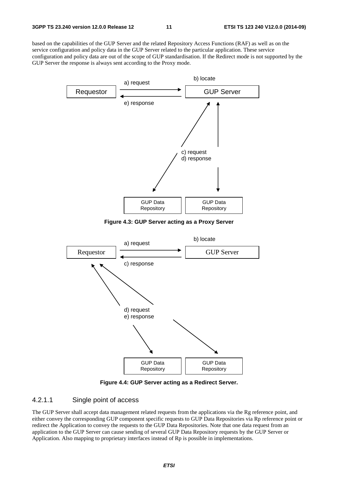based on the capabilities of the GUP Server and the related Repository Access Functions (RAF) as well as on the service configuration and policy data in the GUP Server related to the particular application. These service configuration and policy data are out of the scope of GUP standardisation. If the Redirect mode is not supported by the GUP Server the response is always sent according to the Proxy mode.



**Figure 4.3: GUP Server acting as a Proxy Server** 



**Figure 4.4: GUP Server acting as a Redirect Server.** 

#### 4.2.1.1 Single point of access

The GUP Server shall accept data management related requests from the applications via the Rg reference point, and either convey the corresponding GUP component specific requests to GUP Data Repositories via Rp reference point or redirect the Application to convey the requests to the GUP Data Repositories. Note that one data request from an application to the GUP Server can cause sending of several GUP Data Repository requests by the GUP Server or Application. Also mapping to proprietary interfaces instead of Rp is possible in implementations.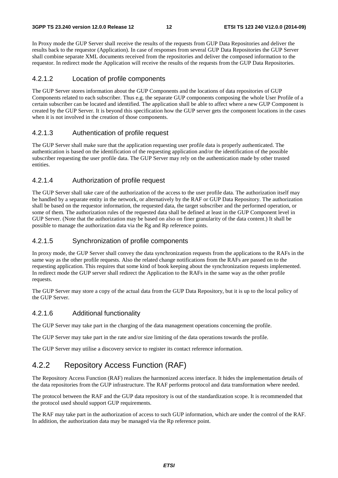In Proxy mode the GUP Server shall receive the results of the requests from GUP Data Repositories and deliver the results back to the requestor (Application). In case of responses from several GUP Data Repositories the GUP Server shall combine separate XML documents received from the repositories and deliver the composed information to the requestor. In redirect mode the Application will receive the results of the requests from the GUP Data Repositories.

#### 4.2.1.2 Location of profile components

The GUP Server stores information about the GUP Components and the locations of data repositories of GUP Components related to each subscriber. Thus e.g. the separate GUP components composing the whole User Profile of a certain subscriber can be located and identified. The application shall be able to affect where a new GUP Component is created by the GUP Server. It is beyond this specification how the GUP server gets the component locations in the cases when it is not involved in the creation of those components.

#### 4.2.1.3 Authentication of profile request

The GUP Server shall make sure that the application requesting user profile data is properly authenticated. The authentication is based on the identification of the requesting application and/or the identification of the possible subscriber requesting the user profile data. The GUP Server may rely on the authentication made by other trusted entities.

#### 4.2.1.4 Authorization of profile request

The GUP Server shall take care of the authorization of the access to the user profile data. The authorization itself may be handled by a separate entity in the network, or alternatively by the RAF or GUP Data Repository. The authorization shall be based on the requestor information, the requested data, the target subscriber and the performed operation, or some of them. The authorization rules of the requested data shall be defined at least in the GUP Component level in GUP Server. (Note that the authorization may be based on also on finer granularity of the data content.) It shall be possible to manage the authorization data via the Rg and Rp reference points.

#### 4.2.1.5 Synchronization of profile components

In proxy mode, the GUP Server shall convey the data synchronization requests from the applications to the RAFs in the same way as the other profile requests. Also the related change notifications from the RAFs are passed on to the requesting application. This requires that some kind of book keeping about the synchronization requests implemented. In redirect mode the GUP server shall redirect the Application to the RAFs in the same way as the other profile requests.

The GUP Server may store a copy of the actual data from the GUP Data Repository, but it is up to the local policy of the GUP Server.

#### 4.2.1.6 Additional functionality

The GUP Server may take part in the charging of the data management operations concerning the profile.

The GUP Server may take part in the rate and/or size limiting of the data operations towards the profile.

The GUP Server may utilise a discovery service to register its contact reference information.

### 4.2.2 Repository Access Function (RAF)

The Repository Access Function (RAF) realizes the harmonized access interface. It hides the implementation details of the data repositories from the GUP infrastructure. The RAF performs protocol and data transformation where needed.

The protocol between the RAF and the GUP data repository is out of the standardization scope. It is recommended that the protocol used should support GUP requirements.

The RAF may take part in the authorization of access to such GUP information, which are under the control of the RAF. In addition, the authorization data may be managed via the Rp reference point.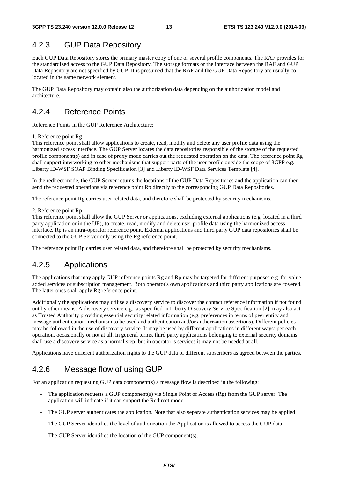### 4.2.3 GUP Data Repository

Each GUP Data Repository stores the primary master copy of one or several profile components. The RAF provides for the standardized access to the GUP Data Repository. The storage formats or the interface between the RAF and GUP Data Repository are not specified by GUP. It is presumed that the RAF and the GUP Data Repository are usually colocated in the same network element.

The GUP Data Repository may contain also the authorization data depending on the authorization model and architecture.

### 4.2.4 Reference Points

Reference Points in the GUP Reference Architecture:

#### 1. Reference point Rg

This reference point shall allow applications to create, read, modify and delete any user profile data using the harmonized access interface. The GUP Server locates the data repositories responsible of the storage of the requested profile component(s) and in case of proxy mode carries out the requested operation on the data. The reference point Rg shall support interworking to other mechanisms that support parts of the user profile outside the scope of 3GPP e.g. Liberty ID-WSF SOAP Binding Specification [3] and Liberty ID-WSF Data Services Template [4].

In the redirect mode, the GUP Server returns the locations of the GUP Data Repositories and the application can then send the requested operations via reference point Rp directly to the corresponding GUP Data Repositories.

The reference point Rg carries user related data, and therefore shall be protected by security mechanisms.

#### 2. Reference point Rp

This reference point shall allow the GUP Server or applications, excluding external applications (e.g. located in a third party application or in the UE), to create, read, modify and delete user profile data using the harmonized access interface. Rp is an intra-operator reference point. External applications and third party GUP data repositories shall be connected to the GUP Server only using the Rg reference point.

The reference point Rp carries user related data, and therefore shall be protected by security mechanisms.

### 4.2.5 Applications

The applications that may apply GUP reference points Rg and Rp may be targeted for different purposes e.g. for value added services or subscription management. Both operator's own applications and third party applications are covered. The latter ones shall apply Rg reference point.

Additionally the applications may utilise a discovery service to discover the contact reference information if not found out by other means. A discovery service e.g., as specified in Liberty Discovery Service Specification [2], may also act as Trusted Authority providing essential security related information (e.g. preferences in terms of peer entity and message authentication mechanism to be used and authentication and/or authorization assertions). Different policies may be followed in the use of discovery service. It may be used by different applications in different ways: per each operation, occasionally or not at all. In general terms, third party applications belonging to external security domains shall use a discovery service as a normal step, but in operator"s services it may not be needed at all.

Applications have different authorization rights to the GUP data of different subscribers as agreed between the parties.

### 4.2.6 Message flow of using GUP

For an application requesting GUP data component(s) a message flow is described in the following:

- The application requests a GUP component(s) via Single Point of Access (Rg) from the GUP server. The application will indicate if it can support the Redirect mode.
- The GUP server authenticates the application. Note that also separate authentication services may be applied.
- The GUP Server identifies the level of authorization the Application is allowed to access the GUP data.
- The GUP Server identifies the location of the GUP component(s).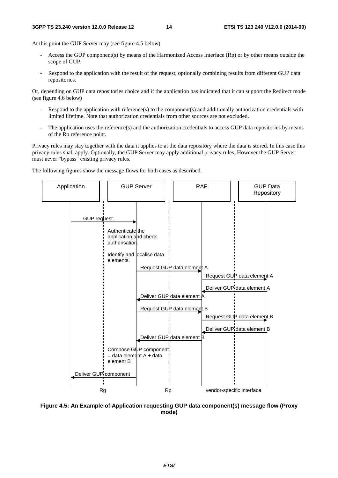At this point the GUP Server may (see figure 4.5 below)

- Access the GUP component(s) by means of the Harmonized Access Interface (Rp) or by other means outside the scope of GUP.
- Respond to the application with the result of the request, optionally combining results from different GUP data repositories.

Or, depending on GUP data repositories choice and if the application has indicated that it can support the Redirect mode (see figure 4.6 below)

- Respond to the application with reference(s) to the component(s) and additionally authorization credentials with limited lifetime. Note that authorization credentials from other sources are not excluded.
- The application uses the reference(s) and the authorization credentials to access GUP data repositories by means of the Rp reference point.

Privacy rules may stay together with the data it applies to at the data repository where the data is stored. In this case this privacy rules shall apply. Optionally, the GUP Server may apply additional privacy rules. However the GUP Server must never "bypass" existing privacy rules.

The following figures show the message flows for both cases as described.



**Figure 4.5: An Example of Application requesting GUP data component(s) message flow (Proxy mode)**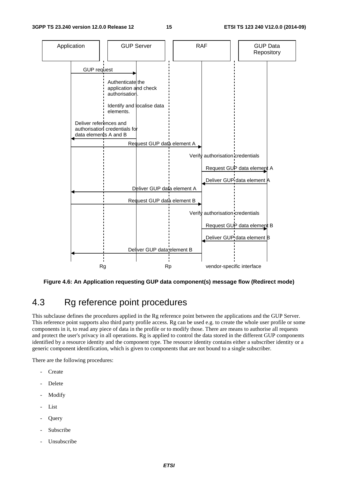

**Figure 4.6: An Application requesting GUP data component(s) message flow (Redirect mode)** 

# 4.3 Rg reference point procedures

This subclause defines the procedures applied in the Rg reference point between the applications and the GUP Server. This reference point supports also third party profile access. Rg can be used e.g. to create the whole user profile or some components in it, to read any piece of data in the profile or to modify those. There are means to authorise all requests and protect the user's privacy in all operations. Rg is applied to control the data stored in the different GUP components identified by a resource identity and the component type. The resource identity contains either a subscriber identity or a generic component identification, which is given to components that are not bound to a single subscriber.

There are the following procedures:

- Create
- **Delete**
- **Modify**
- List
- **Query**
- Subscribe
- Unsubscribe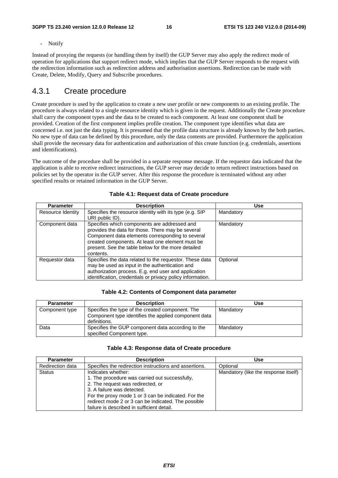- Notify

Instead of proxying the requests (or handling them by itself) the GUP Server may also apply the redirect mode of operation for applications that support redirect mode, which implies that the GUP Server responds to the request with the redirection information such as redirection address and authorisation assertions. Redirection can be made with Create, Delete, Modify, Query and Subscribe procedures.

### 4.3.1 Create procedure

Create procedure is used by the application to create a new user profile or new components to an existing profile. The procedure is always related to a single resource identity which is given in the request. Additionally the Create procedure shall carry the component types and the data to be created to each component. At least one component shall be provided. Creation of the first component implies profile creation. The component type identifies what data are concerned i.e. not just the data typing. It is presumed that the profile data structure is already known by the both parties. No new type of data can be defined by this procedure, only the data contents are provided. Furthermore the application shall provide the necessary data for authentication and authorization of this create function (e.g. credentials, assertions and identifications).

The outcome of the procedure shall be provided in a separate response message. If the requestor data indicated that the application is able to receive redirect instructions, the GUP server may decide to return redirect instructions based on policies set by the operator in the GUP server. After this response the procedure is terminated without any other specified results or retained information in the GUP Server.

| <b>Parameter</b>  | <b>Description</b>                                                                                                                                                                                                                                                           | Use       |
|-------------------|------------------------------------------------------------------------------------------------------------------------------------------------------------------------------------------------------------------------------------------------------------------------------|-----------|
| Resource Identity | Specifies the resource identity with its type (e.g. SIP<br>URI public ID).                                                                                                                                                                                                   | Mandatory |
| Component data    | Specifies which components are addressed and<br>provides the data for those. There may be several<br>Component data elements corresponding to several<br>created components. At least one element must be<br>present. See the table below for the more detailed<br>contents. | Mandatory |
| Requestor data    | Specifies the data related to the requestor. These data<br>may be used as input in the authentication and<br>authorization process. E.g. end user and application<br>identification, credentials or privacy policy information.                                              | Optional  |

|  |  |  |  | Table 4.1: Request data of Create procedure |
|--|--|--|--|---------------------------------------------|
|--|--|--|--|---------------------------------------------|

#### **Table 4.2: Contents of Component data parameter**

| <b>Parameter</b> | <b>Description</b>                                                                                                       | Use       |
|------------------|--------------------------------------------------------------------------------------------------------------------------|-----------|
| Component type   | Specifies the type of the created component. The<br>Component type identifies the applied component data<br>definitions. | Mandatory |
| Data             | Specifies the GUP component data according to the<br>specified Component type.                                           | Mandatory |

#### **Table 4.3: Response data of Create procedure**

| <b>Parameter</b> | <b>Description</b>                                                                                                                                                                                                                                                                                  | Use                                  |
|------------------|-----------------------------------------------------------------------------------------------------------------------------------------------------------------------------------------------------------------------------------------------------------------------------------------------------|--------------------------------------|
| Redirection data | Specifies the redirection instructions and assertions.                                                                                                                                                                                                                                              | Optional                             |
| <b>Status</b>    | Indicates whether:<br>1. The procedure was carried out successfully,<br>2. The request was redirected, or<br>3. A failure was detected.<br>For the proxy mode 1 or 3 can be indicated. For the<br>redirect mode 2 or 3 can be indicated. The possible<br>failure is described in sufficient detail. | Mandatory (like the response itself) |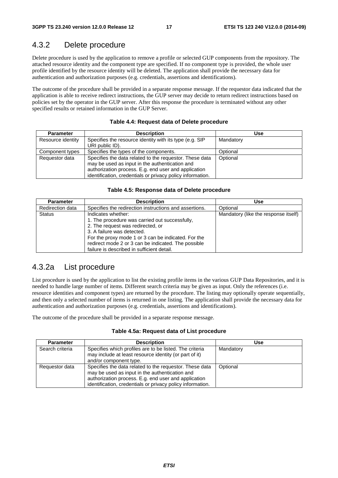### 4.3.2 Delete procedure

Delete procedure is used by the application to remove a profile or selected GUP components from the repository. The attached resource identity and the component type are specified. If no component type is provided, the whole user profile identified by the resource identity will be deleted. The application shall provide the necessary data for authentication and authorization purposes (e.g. credentials, assertions and identifications).

The outcome of the procedure shall be provided in a separate response message. If the requestor data indicated that the application is able to receive redirect instructions, the GUP server may decide to return redirect instructions based on policies set by the operator in the GUP server. After this response the procedure is terminated without any other specified results or retained information in the GUP Server.

| <b>Parameter</b>  | <b>Description</b>                                                                                                                                                                                                              | Use       |
|-------------------|---------------------------------------------------------------------------------------------------------------------------------------------------------------------------------------------------------------------------------|-----------|
| Resource identity | Specifies the resource identity with its type (e.g. SIP<br>URI public ID).                                                                                                                                                      | Mandatory |
| Component types   | Specifies the types of the components.                                                                                                                                                                                          | Optional  |
| Requestor data    | Specifies the data related to the requestor. These data<br>may be used as input in the authentication and<br>authorization process. E.g. end user and application<br>identification, credentials or privacy policy information. | Optional  |

#### **Table 4.4: Request data of Delete procedure**

#### **Table 4.5: Response data of Delete procedure**

| <b>Parameter</b> | <b>Description</b>                                                                                                                                                                                                                                                                                  | <b>Use</b>                           |
|------------------|-----------------------------------------------------------------------------------------------------------------------------------------------------------------------------------------------------------------------------------------------------------------------------------------------------|--------------------------------------|
| Redirection data | Specifies the redirection instructions and assertions.                                                                                                                                                                                                                                              | Optional                             |
| <b>Status</b>    | Indicates whether:<br>1. The procedure was carried out successfully,<br>2. The request was redirected, or<br>3. A failure was detected.<br>For the proxy mode 1 or 3 can be indicated. For the<br>redirect mode 2 or 3 can be indicated. The possible<br>failure is described in sufficient detail. | Mandatory (like the response itself) |

### 4.3.2a List procedure

List procedure is used by the application to list the existing profile items in the various GUP Data Repositories, and it is needed to handle large number of items. Different search criteria may be given as input. Only the references (i.e. resource identities and component types) are returned by the procedure. The listing may optionally operate sequentially, and then only a selected number of items is returned in one listing. The application shall provide the necessary data for authentication and authorization purposes (e.g. credentials, assertions and identifications).

The outcome of the procedure shall be provided in a separate response message.

#### **Table 4.5a: Request data of List procedure**

| <b>Parameter</b> | <b>Description</b>                                                                                                                                                                                                              | Use       |
|------------------|---------------------------------------------------------------------------------------------------------------------------------------------------------------------------------------------------------------------------------|-----------|
| Search criteria  | Specifies which profiles are to be listed. The criteria<br>may include at least resource identity (or part of it)<br>and/or component type.                                                                                     | Mandatory |
| Requestor data   | Specifies the data related to the requestor. These data<br>may be used as input in the authentication and<br>authorization process. E.g. end user and application<br>identification, credentials or privacy policy information. | Optional  |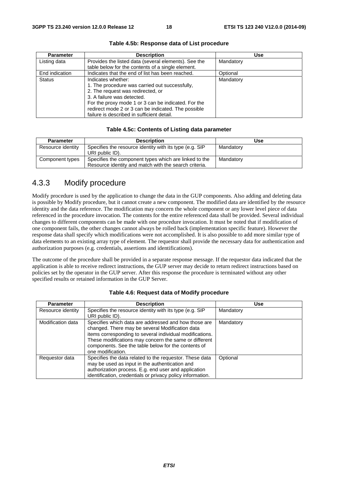| <b>Parameter</b> | <b>Description</b>                                                                                                                                                                                                                                                                                  | <b>Use</b> |
|------------------|-----------------------------------------------------------------------------------------------------------------------------------------------------------------------------------------------------------------------------------------------------------------------------------------------------|------------|
| Listing data     | Provides the listed data (several elements). See the<br>table below for the contents of a single element.                                                                                                                                                                                           | Mandatory  |
| End indication   | Indicates that the end of list has been reached.                                                                                                                                                                                                                                                    | Optional   |
| <b>Status</b>    | Indicates whether:<br>1. The procedure was carried out successfully,<br>2. The request was redirected, or<br>3. A failure was detected.<br>For the proxy mode 1 or 3 can be indicated. For the<br>redirect mode 2 or 3 can be indicated. The possible<br>failure is described in sufficient detail. | Mandatory  |

#### **Table 4.5b: Response data of List procedure**

#### **Table 4.5c: Contents of Listing data parameter**

| <b>Parameter</b>  | <b>Description</b>                                                                                             | Use       |
|-------------------|----------------------------------------------------------------------------------------------------------------|-----------|
| Resource identity | Specifies the resource identity with its type (e.g. SIP<br>URI public ID).                                     | Mandatory |
| Component types   | Specifies the component types which are linked to the<br>Resource identity and match with the search criteria. | Mandatory |

### 4.3.3 Modify procedure

Modify procedure is used by the application to change the data in the GUP components. Also adding and deleting data is possible by Modify procedure, but it cannot create a new component. The modified data are identified by the resource identity and the data reference. The modification may concern the whole component or any lower level piece of data referenced in the procedure invocation. The contents for the entire referenced data shall be provided. Several individual changes to different components can be made with one procedure invocation. It must be noted that if modification of one component fails, the other changes cannot always be rolled back (implementation specific feature). However the response data shall specify which modifications were not accomplished. It is also possible to add more similar type of data elements to an existing array type of element. The requestor shall provide the necessary data for authentication and authorization purposes (e.g. credentials, assertions and identifications).

The outcome of the procedure shall be provided in a separate response message. If the requestor data indicated that the application is able to receive redirect instructions, the GUP server may decide to return redirect instructions based on policies set by the operator in the GUP server. After this response the procedure is terminated without any other specified results or retained information in the GUP Server.

| <b>Parameter</b>  | <b>Description</b>                                                                                                                                                                                                                                                                                       | Use       |
|-------------------|----------------------------------------------------------------------------------------------------------------------------------------------------------------------------------------------------------------------------------------------------------------------------------------------------------|-----------|
| Resource identity | Specifies the resource identity with its type (e.g. SIP                                                                                                                                                                                                                                                  | Mandatory |
|                   | URI public ID).                                                                                                                                                                                                                                                                                          |           |
| Modification data | Specifies which data are addressed and how those are<br>changed. There may be several Modification data<br>items corresponding to several individual modifications.<br>These modifications may concern the same or different<br>components. See the table below for the contents of<br>one modification. | Mandatory |
| Requestor data    | Specifies the data related to the requestor. These data<br>may be used as input in the authentication and<br>authorization process. E.g. end user and application<br>identification, credentials or privacy policy information.                                                                          | Optional  |

#### **Table 4.6: Request data of Modify procedure**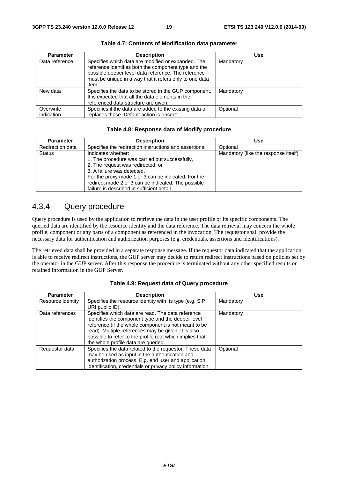| <b>Parameter</b>        | <b>Description</b>                                                                                                                                                                                                                    | <b>Use</b> |
|-------------------------|---------------------------------------------------------------------------------------------------------------------------------------------------------------------------------------------------------------------------------------|------------|
| Data reference          | Specifies which data are modified or expanded. The<br>reference identifies both the component type and the<br>possible deeper level data reference. The reference<br>must be unique in a way that it refers only to one data<br>item. | Mandatory  |
| New data                | Specifies the data to be stored in the GUP component.<br>It is expected that all the data elements in the<br>referenced data structure are given.                                                                                     | Mandatory  |
| Overwrite<br>indication | Specifies if the data are added to the existing data or<br>replaces those. Default action is "insert".                                                                                                                                | Optional   |

**Table 4.7: Contents of Modification data parameter** 

#### **Table 4.8: Response data of Modify procedure**

| <b>Parameter</b> | <b>Description</b>                                                                                                                                                                             | Use                                  |
|------------------|------------------------------------------------------------------------------------------------------------------------------------------------------------------------------------------------|--------------------------------------|
| Redirection data | Specifies the redirection instructions and assertions.                                                                                                                                         | Optional                             |
| <b>Status</b>    | Indicates whether:<br>1. The procedure was carried out successfully,<br>2. The request was redirected, or<br>3. A failure was detected.<br>For the proxy mode 1 or 3 can be indicated. For the | Mandatory (like the response itself) |
|                  | redirect mode 2 or 3 can be indicated. The possible<br>failure is described in sufficient detail.                                                                                              |                                      |

### 4.3.4 Query procedure

Query procedure is used by the application to retrieve the data in the user profile or its specific components. The queried data are identified by the resource identity and the data reference. The data retrieval may concern the whole profile, component or any parts of a component as referenced in the invocation. The requestor shall provide the necessary data for authentication and authorization purposes (e.g. credentials, assertions and identifications).

The retrieved data shall be provided in a separate response message. If the requestor data indicated that the application is able to receive redirect instructions, the GUP server may decide to return redirect instructions based on policies set by the operator in the GUP server. After this response the procedure is terminated without any other specified results or retained information in the GUP Server.

| <b>Parameter</b>  | <b>Description</b>                                                                                                                                                                                                                                                                                                        | Use       |
|-------------------|---------------------------------------------------------------------------------------------------------------------------------------------------------------------------------------------------------------------------------------------------------------------------------------------------------------------------|-----------|
| Resource identity | Specifies the resource identity with its type (e.g. SIP<br>URI public ID).                                                                                                                                                                                                                                                | Mandatory |
| Data references   | Specifies which data are read. The data reference<br>identifies the component type and the deeper level<br>reference (if the whole component is not meant to be<br>read). Multiple references may be given. It is also<br>possible to refer to the profile root which implies that<br>the whole profile data are queried. | Mandatory |
| Requestor data    | Specifies the data related to the requestor. These data<br>may be used as input in the authentication and<br>authorization process. E.g. end user and application<br>identification, credentials or privacy policy information.                                                                                           | Optional  |

#### **Table 4.9: Request data of Query procedure**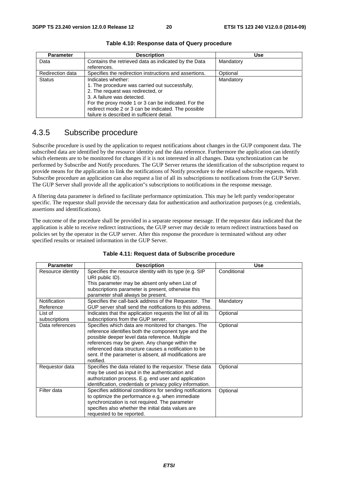| <b>Parameter</b> | <b>Description</b>                                     | Use       |
|------------------|--------------------------------------------------------|-----------|
| Data             | Contains the retrieved data as indicated by the Data   | Mandatory |
|                  | references.                                            |           |
| Redirection data | Specifies the redirection instructions and assertions. | Optional  |
| <b>Status</b>    | Indicates whether:                                     | Mandatory |
|                  | 1. The procedure was carried out successfully,         |           |
|                  | 2. The request was redirected, or                      |           |
|                  | 3. A failure was detected.                             |           |
|                  | For the proxy mode 1 or 3 can be indicated. For the    |           |
|                  | redirect mode 2 or 3 can be indicated. The possible    |           |
|                  | failure is described in sufficient detail.             |           |

**Table 4.10: Response data of Query procedure** 

### 4.3.5 Subscribe procedure

Subscribe procedure is used by the application to request notifications about changes in the GUP component data. The subscribed data are identified by the resource identity and the data reference. Furthermore the application can identify which elements are to be monitored for changes if it is not interested in all changes. Data synchronization can be performed by Subscribe and Notify procedures. The GUP Server returns the identification of the subscription request to provide means for the application to link the notifications of Notify procedure to the related subscribe requests. With Subscribe procedure an application can also request a list of all its subscriptions to notifications from the GUP Server. The GUP Server shall provide all the application"s subscriptions to notifications in the response message.

A filtering data parameter is defined to facilitate performance optimization. This may be left partly vendor/operator specific. The requestor shall provide the necessary data for authentication and authorization purposes (e.g. credentials, assertions and identifications).

The outcome of the procedure shall be provided in a separate response message. If the requestor data indicated that the application is able to receive redirect instructions, the GUP server may decide to return redirect instructions based on policies set by the operator in the GUP server. After this response the procedure is terminated without any other specified results or retained information in the GUP Server.

| <b>Parameter</b>    | <b>Description</b>                                                         | <b>Use</b>  |
|---------------------|----------------------------------------------------------------------------|-------------|
| Resource identity   | Specifies the resource identity with its type (e.g. SIP<br>URI public ID). | Conditional |
|                     | This parameter may be absent only when List of                             |             |
|                     | subscriptions parameter is present, otherwise this                         |             |
|                     | parameter shall always be present.                                         |             |
| <b>Notification</b> | Specifies the call-back address of the Requestor. The                      | Mandatory   |
| Reference           | GUP server shall send the notifications to this address.                   |             |
| List of             | Indicates that the application requests the list of all its                | Optional    |
| subscriptions       | subscriptions from the GUP server.                                         |             |
| Data references     | Specifies which data are monitored for changes. The                        | Optional    |
|                     | reference identifies both the component type and the                       |             |
|                     | possible deeper level data reference. Multiple                             |             |
|                     | references may be given. Any change within the                             |             |
|                     | referenced data structure causes a notification to be                      |             |
|                     | sent. If the parameter is absent, all modifications are                    |             |
|                     | notified.                                                                  |             |
| Requestor data      | Specifies the data related to the requestor. These data                    | Optional    |
|                     | may be used as input in the authentication and                             |             |
|                     | authorization process. E.g. end user and application                       |             |
|                     | identification, credentials or privacy policy information.                 |             |
| Filter data         | Specifies additional conditions for sending notifications                  | Optional    |
|                     | to optimize the performance e.g. when immediate                            |             |
|                     | synchronization is not required. The parameter                             |             |
|                     | specifies also whether the initial data values are                         |             |
|                     | requested to be reported.                                                  |             |

#### **Table 4.11: Request data of Subscribe procedure**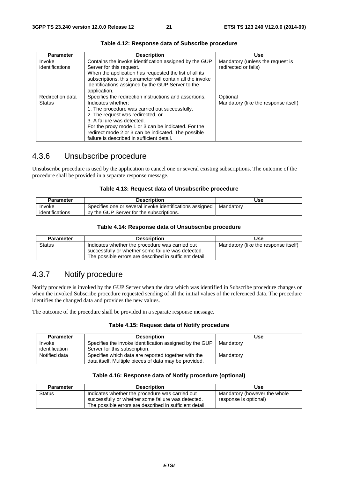| <b>Parameter</b>          | <b>Description</b>                                                                                                                                                                                                                                                                                  | <b>Use</b>                                               |
|---------------------------|-----------------------------------------------------------------------------------------------------------------------------------------------------------------------------------------------------------------------------------------------------------------------------------------------------|----------------------------------------------------------|
| Invoke<br>identifications | Contains the invoke identification assigned by the GUP<br>Server for this request.<br>When the application has requested the list of all its<br>subscriptions, this parameter will contain all the invoke<br>identifications assigned by the GUP Server to the<br>application.                      | Mandatory (unless the request is<br>redirected or fails) |
| Redirection data          | Specifies the redirection instructions and assertions.                                                                                                                                                                                                                                              | Optional                                                 |
| <b>Status</b>             | Indicates whether:<br>1. The procedure was carried out successfully,<br>2. The request was redirected, or<br>3. A failure was detected.<br>For the proxy mode 1 or 3 can be indicated. For the<br>redirect mode 2 or 3 can be indicated. The possible<br>failure is described in sufficient detail. | Mandatory (like the response itself)                     |

#### **Table 4.12: Response data of Subscribe procedure**

### 4.3.6 Unsubscribe procedure

Unsubscribe procedure is used by the application to cancel one or several existing subscriptions. The outcome of the procedure shall be provided in a separate response message.

#### **Table 4.13: Request data of Unsubscribe procedure**

| Parameter       | <b>Description</b>                                       | Use       |
|-----------------|----------------------------------------------------------|-----------|
| Invoke          | Specifies one or several invoke identifications assigned | Mandatorv |
| identifications | by the GUP Server for the subscriptions.                 |           |

#### **Table 4.14: Response data of Unsubscribe procedure**

| <b>Parameter</b> | <b>Description</b>                                                                                    | Use                                  |
|------------------|-------------------------------------------------------------------------------------------------------|--------------------------------------|
| Status           | Indicates whether the procedure was carried out<br>successfully or whether some failure was detected. | Mandatory (like the response itself) |
|                  | The possible errors are described in sufficient detail.                                               |                                      |

### 4.3.7 Notify procedure

Notify procedure is invoked by the GUP Server when the data which was identified in Subscribe procedure changes or when the invoked Subscribe procedure requested sending of all the initial values of the referenced data. The procedure identifies the changed data and provides the new values.

The outcome of the procedure shall be provided in a separate response message.

#### **Table 4.15: Request data of Notify procedure**

| <b>Parameter</b> | <b>Description</b>                                      | Use       |
|------------------|---------------------------------------------------------|-----------|
| Invoke           | Specifies the invoke identification assigned by the GUP | Mandatory |
| identification   | Server for this subscription.                           |           |
| Notified data    | Specifies which data are reported together with the     | Mandatory |
|                  | data itself. Multiple pieces of data may be provided.   |           |

#### **Table 4.16: Response data of Notify procedure (optional)**

| <b>Parameter</b> | <b>Description</b>                                                                                    | Use                                                   |
|------------------|-------------------------------------------------------------------------------------------------------|-------------------------------------------------------|
| <b>Status</b>    | Indicates whether the procedure was carried out<br>successfully or whether some failure was detected. | Mandatory (however the whole<br>response is optional) |
|                  | The possible errors are described in sufficient detail.                                               |                                                       |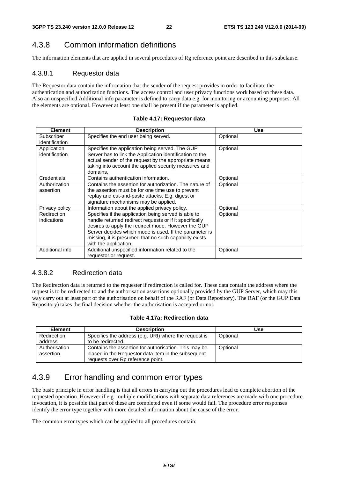### 4.3.8 Common information definitions

The information elements that are applied in several procedures of Rg reference point are described in this subclause.

### 4.3.8.1 Requestor data

The Requestor data contain the information that the sender of the request provides in order to facilitate the authentication and authorization functions. The access control and user privacy functions work based on these data. Also an unspecified Additional info parameter is defined to carry data e.g. for monitoring or accounting purposes. All the elements are optional. However at least one shall be present if the parameter is applied.

| <b>Element</b>                | <b>Description</b>                                                                                                                                                                                                                                                                                                  | <b>Use</b> |
|-------------------------------|---------------------------------------------------------------------------------------------------------------------------------------------------------------------------------------------------------------------------------------------------------------------------------------------------------------------|------------|
| Subscriber<br>identification  | Specifies the end user being served.                                                                                                                                                                                                                                                                                | Optional   |
| Application<br>identification | Specifies the application being served. The GUP<br>Server has to link the Application identification to the<br>actual sender of the request by the appropriate means<br>taking into account the applied security measures and<br>domains.                                                                           | Optional   |
| Credentials                   | Contains authentication information.                                                                                                                                                                                                                                                                                | Optional   |
| Authorization<br>assertion    | Contains the assertion for authorization. The nature of<br>the assertion must be for one time use to prevent<br>replay and cut-and-paste attacks. E.g. digest or<br>signature mechanisms may be applied.                                                                                                            | Optional   |
| Privacy policy                | Information about the applied privacy policy.                                                                                                                                                                                                                                                                       | Optional   |
| Redirection<br>indications    | Specifies if the application being served is able to<br>handle returned redirect requests or if it specifically<br>desires to apply the redirect mode. However the GUP<br>Server decides which mode is used. If the parameter is<br>missing, it is presumed that no such capability exists<br>with the application. | Optional   |
| Additional info               | Additional unspecified information related to the<br>requestor or request.                                                                                                                                                                                                                                          | Optional   |

#### **Table 4.17: Requestor data**

### 4.3.8.2 Redirection data

The Redirection data is returned to the requester if redirection is called for. These data contain the address where the request is to be redirected to and the authorisation assertions optionally provided by the GUP Server, which may this way carry out at least part of the authorisation on behalf of the RAF (or Data Repository). The RAF (or the GUP Data Repository) takes the final decision whether the authorisation is accepted or not.

#### **Table 4.17a: Redirection data**

| <b>Element</b>             | <b>Description</b>                                                                                                                                | Use      |
|----------------------------|---------------------------------------------------------------------------------------------------------------------------------------------------|----------|
| Redirection<br>address     | Specifies the address (e.g. URI) where the request is<br>to be redirected.                                                                        | Optional |
| Authorisation<br>assertion | Contains the assertion for authorisation. This may be<br>placed in the Requestor data item in the subsequent<br>requests over Rp reference point. | Optional |

### 4.3.9 Error handling and common error types

The basic principle in error handling is that all errors in carrying out the procedures lead to complete abortion of the requested operation. However if e.g. multiple modifications with separate data references are made with one procedure invocation, it is possible that part of these are completed even if some would fail. The procedure error responses identify the error type together with more detailed information about the cause of the error.

The common error types which can be applied to all procedures contain: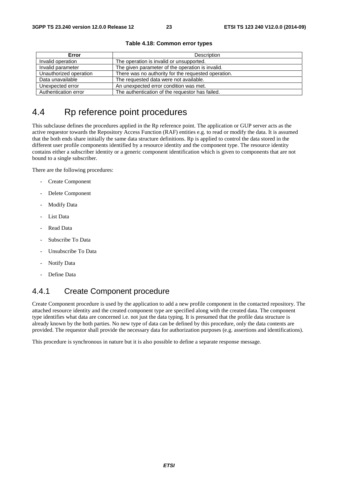| Error                  | Description                                         |
|------------------------|-----------------------------------------------------|
| Invalid operation      | The operation is invalid or unsupported.            |
| Invalid parameter      | The given parameter of the operation is invalid.    |
| Unauthorized operation | There was no authority for the requested operation. |
| Data unavailable       | The requested data were not available.              |
| Unexpected error       | An unexpected error condition was met.              |
| Authentication error   | The authentication of the requestor has failed.     |

#### **Table 4.18: Common error types**

# 4.4 Rp reference point procedures

This subclause defines the procedures applied in the Rp reference point. The application or GUP server acts as the active requestor towards the Repository Access Function (RAF) entities e.g. to read or modify the data. It is assumed that the both ends share initially the same data structure definitions. Rp is applied to control the data stored in the different user profile components identified by a resource identity and the component type. The resource identity contains either a subscriber identity or a generic component identification which is given to components that are not bound to a single subscriber.

There are the following procedures:

- Create Component
- Delete Component
- Modify Data
- List Data
- Read Data
- Subscribe To Data
- Unsubscribe To Data
- Notify Data
- Define Data

### 4.4.1 Create Component procedure

Create Component procedure is used by the application to add a new profile component in the contacted repository. The attached resource identity and the created component type are specified along with the created data. The component type identifies what data are concerned i.e. not just the data typing. It is presumed that the profile data structure is already known by the both parties. No new type of data can be defined by this procedure, only the data contents are provided. The requestor shall provide the necessary data for authorization purposes (e.g. assertions and identifications).

This procedure is synchronous in nature but it is also possible to define a separate response message.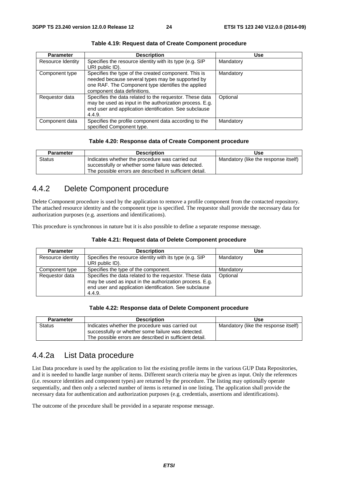| <b>Parameter</b>  | <b>Description</b>                                                                                                                                                                            | <b>Use</b> |
|-------------------|-----------------------------------------------------------------------------------------------------------------------------------------------------------------------------------------------|------------|
| Resource Identity | Specifies the resource identity with its type (e.g. SIP<br>URI public ID).                                                                                                                    | Mandatory  |
| Component type    | Specifies the type of the created component. This is<br>needed because several types may be supported by<br>one RAF. The Component type identifies the applied<br>component data definitions. | Mandatory  |
| Requestor data    | Specifies the data related to the requestor. These data<br>may be used as input in the authorization process. E.g.<br>end user and application identification. See subclause<br>4.4.9.        | Optional   |
| Component data    | Specifies the profile component data according to the<br>specified Component type.                                                                                                            | Mandatory  |

**Table 4.19: Request data of Create Component procedure** 

#### **Table 4.20: Response data of Create Component procedure**

| <b>Parameter</b> | <b>Description</b>                                                                                                                                               | Use                                  |
|------------------|------------------------------------------------------------------------------------------------------------------------------------------------------------------|--------------------------------------|
| Status           | Indicates whether the procedure was carried out<br>successfully or whether some failure was detected.<br>The possible errors are described in sufficient detail. | Mandatory (like the response itself) |

### 4.4.2 Delete Component procedure

Delete Component procedure is used by the application to remove a profile component from the contacted repository. The attached resource identity and the component type is specified. The requestor shall provide the necessary data for authorization purposes (e.g. assertions and identifications).

This procedure is synchronous in nature but it is also possible to define a separate response message.

|  |  |  | Table 4.21: Request data of Delete Component procedure |
|--|--|--|--------------------------------------------------------|
|--|--|--|--------------------------------------------------------|

| <b>Parameter</b>  | <b>Description</b>                                                                                                                                                                     | <b>Use</b> |
|-------------------|----------------------------------------------------------------------------------------------------------------------------------------------------------------------------------------|------------|
| Resource identity | Specifies the resource identity with its type (e.g. SIP<br>URI public ID).                                                                                                             | Mandatory  |
| Component type    | Specifies the type of the component.                                                                                                                                                   | Mandatory  |
| Requestor data    | Specifies the data related to the requestor. These data<br>may be used as input in the authorization process. E.g.<br>end user and application identification. See subclause<br>4.4.9. | Optional   |

#### **Table 4.22: Response data of Delete Component procedure**

| <b>Parameter</b> | <b>Description</b>                                                                                                                                               | Use                                  |
|------------------|------------------------------------------------------------------------------------------------------------------------------------------------------------------|--------------------------------------|
| <b>Status</b>    | Indicates whether the procedure was carried out<br>successfully or whether some failure was detected.<br>The possible errors are described in sufficient detail. | Mandatory (like the response itself) |

### 4.4.2a List Data procedure

List Data procedure is used by the application to list the existing profile items in the various GUP Data Repositories, and it is needed to handle large number of items. Different search criteria may be given as input. Only the references (i.e. resource identities and component types) are returned by the procedure. The listing may optionally operate sequentially, and then only a selected number of items is returned in one listing. The application shall provide the necessary data for authentication and authorization purposes (e.g. credentials, assertions and identifications).

The outcome of the procedure shall be provided in a separate response message.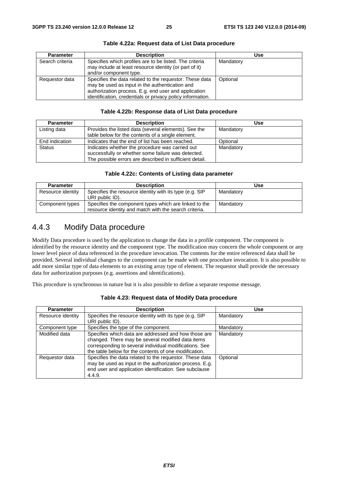| <b>Parameter</b> | <b>Description</b>                                                                                                                                                                                                              | <b>Use</b> |
|------------------|---------------------------------------------------------------------------------------------------------------------------------------------------------------------------------------------------------------------------------|------------|
| Search criteria  | Specifies which profiles are to be listed. The criteria<br>may include at least resource identity (or part of it)<br>and/or component type.                                                                                     | Mandatory  |
| Requestor data   | Specifies the data related to the requestor. These data<br>may be used as input in the authentication and<br>authorization process. E.g. end user and application<br>identification, credentials or privacy policy information. | Optional   |

#### **Table 4.22a: Request data of List Data procedure**

#### **Table 4.22b: Response data of List Data procedure**

| <b>Parameter</b> | <b>Description</b>                                                                                                                                               | <b>Use</b> |
|------------------|------------------------------------------------------------------------------------------------------------------------------------------------------------------|------------|
| Listing data     | Provides the listed data (several elements). See the<br>table below for the contents of a single element.                                                        | Mandatory  |
| End indication   | Indicates that the end of list has been reached.                                                                                                                 | Optional   |
| <b>Status</b>    | Indicates whether the procedure was carried out<br>successfully or whether some failure was detected.<br>The possible errors are described in sufficient detail. | Mandatory  |

#### **Table 4.22c: Contents of Listing data parameter**

| <b>Parameter</b>  | <b>Description</b>                                                                                             | Use       |
|-------------------|----------------------------------------------------------------------------------------------------------------|-----------|
| Resource identity | Specifies the resource identity with its type (e.g. SIP<br>URI public ID).                                     | Mandatory |
| Component types   | Specifies the component types which are linked to the<br>resource identity and match with the search criteria. | Mandatory |

### 4.4.3 Modify Data procedure

Modify Data procedure is used by the application to change the data in a profile component. The component is identified by the resource identity and the component type. The modification may concern the whole component or any lower level piece of data referenced in the procedure invocation. The contents for the entire referenced data shall be provided. Several individual changes to the component can be made with one procedure invocation. It is also possible to add more similar type of data elements to an existing array type of element. The requestor shall provide the necessary data for authorization purposes (e.g. assertions and identifications).

This procedure is synchronous in nature but it is also possible to define a separate response message.

| <b>Parameter</b>  | <b>Description</b>                                                                                                                                                                                                           | <b>Use</b> |
|-------------------|------------------------------------------------------------------------------------------------------------------------------------------------------------------------------------------------------------------------------|------------|
| Resource identity | Specifies the resource identity with its type (e.g. SIP<br>URI public ID).                                                                                                                                                   | Mandatory  |
| Component type    | Specifies the type of the component.                                                                                                                                                                                         | Mandatory  |
| Modified data     | Specifies which data are addressed and how those are<br>changed. There may be several modified data items<br>corresponding to several individual modifications. See<br>the table below for the contents of one modification. | Mandatory  |
| Requestor data    | Specifies the data related to the requestor. These data<br>may be used as input in the authorization process. E.g.<br>end user and application identification. See subclause<br>4.4.9.                                       | Optional   |

#### **Table 4.23: Request data of Modify Data procedure**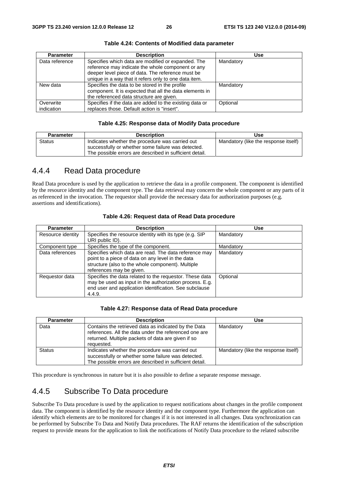| <b>Parameter</b> | <b>Description</b>                                                                                                                                                                                                    | <b>Use</b> |
|------------------|-----------------------------------------------------------------------------------------------------------------------------------------------------------------------------------------------------------------------|------------|
| Data reference   | Specifies which data are modified or expanded. The<br>reference may indicate the whole component or any<br>deeper level piece of data. The reference must be<br>unique in a way that it refers only to one data item. | Mandatory  |
| New data         | Specifies the data to be stored in the profile<br>component. It is expected that all the data elements in<br>the referenced data structure are given.                                                                 | Mandatory  |
| Overwrite        | Specifies if the data are added to the existing data or                                                                                                                                                               | Optional   |
| indication       | replaces those. Default action is "insert".                                                                                                                                                                           |            |

**Table 4.24: Contents of Modified data parameter** 

#### **Table 4.25: Response data of Modify Data procedure**

| <b>Description</b>                                                                                    | Use                                                     |
|-------------------------------------------------------------------------------------------------------|---------------------------------------------------------|
| Indicates whether the procedure was carried out<br>successfully or whether some failure was detected. | Mandatory (like the response itself)                    |
|                                                                                                       | The possible errors are described in sufficient detail. |

### 4.4.4 Read Data procedure

Read Data procedure is used by the application to retrieve the data in a profile component. The component is identified by the resource identity and the component type. The data retrieval may concern the whole component or any parts of it as referenced in the invocation. The requestor shall provide the necessary data for authorization purposes (e.g. assertions and identifications).

| <b>Parameter</b>  | <b>Description</b>                                                                                                                                                                          | <b>Use</b> |
|-------------------|---------------------------------------------------------------------------------------------------------------------------------------------------------------------------------------------|------------|
| Resource identity | Specifies the resource identity with its type (e.g. SIP<br>URI public ID).                                                                                                                  | Mandatory  |
| Component type    | Specifies the type of the component.                                                                                                                                                        | Mandatory  |
| Data references   | Specifies which data are read. The data reference may<br>point to a piece of data on any level in the data<br>structure (also to the whole component). Multiple<br>references may be given. | Mandatory  |
| Requestor data    | Specifies the data related to the requestor. These data<br>may be used as input in the authorization process. E.g.<br>end user and application identification. See subclause<br>4.4.9.      | Optional   |

#### **Table 4.26: Request data of Read Data procedure**

#### **Table 4.27: Response data of Read Data procedure**

| <b>Parameter</b> | <b>Description</b>                                                                                                                                                                | Use                                  |
|------------------|-----------------------------------------------------------------------------------------------------------------------------------------------------------------------------------|--------------------------------------|
| Data             | Contains the retrieved data as indicated by the Data<br>references. All the data under the referenced one are<br>returned. Multiple packets of data are given if so<br>requested. | Mandatory                            |
| <b>Status</b>    | Indicates whether the procedure was carried out<br>successfully or whether some failure was detected.<br>The possible errors are described in sufficient detail.                  | Mandatory (like the response itself) |

This procedure is synchronous in nature but it is also possible to define a separate response message.

### 4.4.5 Subscribe To Data procedure

Subscribe To Data procedure is used by the application to request notifications about changes in the profile component data. The component is identified by the resource identity and the component type. Furthermore the application can identify which elements are to be monitored for changes if it is not interested in all changes. Data synchronization can be performed by Subscribe To Data and Notify Data procedures. The RAF returns the identification of the subscription request to provide means for the application to link the notifications of Notify Data procedure to the related subscribe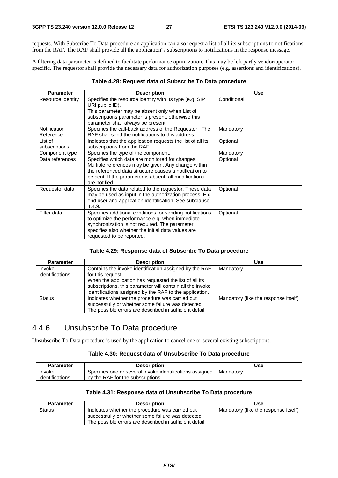requests. With Subscribe To Data procedure an application can also request a list of all its subscriptions to notifications from the RAF. The RAF shall provide all the application"s subscriptions to notifications in the response message.

A filtering data parameter is defined to facilitate performance optimization. This may be left partly vendor/operator specific. The requestor shall provide the necessary data for authorization purposes (e.g. assertions and identifications).

#### **Table 4.28: Request data of Subscribe To Data procedure**

| <b>Parameter</b>          | <b>Description</b>                                                                                                                                                                                                                                | <b>Use</b>  |
|---------------------------|---------------------------------------------------------------------------------------------------------------------------------------------------------------------------------------------------------------------------------------------------|-------------|
| Resource identity         | Specifies the resource identity with its type (e.g. SIP<br>URI public ID).<br>This parameter may be absent only when List of<br>subscriptions parameter is present, otherwise this<br>parameter shall always be present.                          | Conditional |
| Notification<br>Reference | Specifies the call-back address of the Requestor. The<br>RAF shall send the notifications to this address.                                                                                                                                        | Mandatory   |
| List of<br>subscriptions  | Indicates that the application requests the list of all its<br>subscriptions from the RAF.                                                                                                                                                        | Optional    |
| Component type            | Specifies the type of the component.                                                                                                                                                                                                              | Mandatory   |
| Data references           | Specifies which data are monitored for changes.<br>Multiple references may be given. Any change within<br>the referenced data structure causes a notification to<br>be sent. If the parameter is absent, all modifications<br>are notified.       | Optional    |
| Requestor data            | Specifies the data related to the requestor. These data<br>may be used as input in the authorization process. E.g.<br>end user and application identification. See subclause<br>4.4.9.                                                            | Optional    |
| Filter data               | Specifies additional conditions for sending notifications<br>to optimize the performance e.g. when immediate<br>synchronization is not required. The parameter<br>specifies also whether the initial data values are<br>requested to be reported. | Optional    |

#### **Table 4.29: Response data of Subscribe To Data procedure**

| <b>Parameter</b> | <b>Description</b>                                        | Use                                  |
|------------------|-----------------------------------------------------------|--------------------------------------|
| Invoke           | Contains the invoke identification assigned by the RAF    | Mandatory                            |
| identifications  | for this request.                                         |                                      |
|                  | When the application has requested the list of all its    |                                      |
|                  | subscriptions, this parameter will contain all the invoke |                                      |
|                  | identifications assigned by the RAF to the application.   |                                      |
| <b>Status</b>    | Indicates whether the procedure was carried out           | Mandatory (like the response itself) |
|                  | successfully or whether some failure was detected.        |                                      |
|                  | The possible errors are described in sufficient detail.   |                                      |

### 4.4.6 Unsubscribe To Data procedure

Unsubscribe To Data procedure is used by the application to cancel one or several existing subscriptions.

#### **Table 4.30: Request data of Unsubscribe To Data procedure**

| <b>Parameter</b> | <b>Description</b>                                       | Use       |
|------------------|----------------------------------------------------------|-----------|
| Invoke           | Specifies one or several invoke identifications assigned | Mandatorv |
| identifications  | by the RAF for the subscriptions.                        |           |

#### **Table 4.31: Response data of Unsubscribe To Data procedure**

| <b>Parameter</b> | <b>Description</b>                                                                                            | <b>Use</b>                           |
|------------------|---------------------------------------------------------------------------------------------------------------|--------------------------------------|
| <b>Status</b>    | Indicates whether the procedure was carried out                                                               | Mandatory (like the response itself) |
|                  | successfully or whether some failure was detected.<br>The possible errors are described in sufficient detail. |                                      |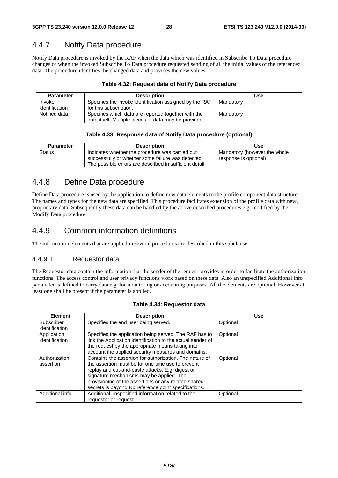### 4.4.7 Notify Data procedure

Notify Data procedure is invoked by the RAF when the data which was identified in Subscribe To Data procedure changes or when the invoked Subscribe To Data procedure requested sending of all the initial values of the referenced data. The procedure identifies the changed data and provides the new values.

#### **Table 4.32: Request data of Notify Data procedure**

| <b>Parameter</b> | <b>Description</b>                                      | Use       |
|------------------|---------------------------------------------------------|-----------|
| Invoke           | Specifies the invoke identification assigned by the RAF | Mandatory |
| identification   | for this subscription.                                  |           |
| Notified data    | Specifies which data are reported together with the     | Mandatory |
|                  | data itself. Multiple pieces of data may be provided.   |           |

#### **Table 4.33: Response data of Notify Data procedure (optional)**

| <b>Parameter</b> | <b>Description</b>                                                                                                                                               | Use                                                   |
|------------------|------------------------------------------------------------------------------------------------------------------------------------------------------------------|-------------------------------------------------------|
| Status           | Indicates whether the procedure was carried out<br>successfully or whether some failure was detected.<br>The possible errors are described in sufficient detail. | Mandatory (however the whole<br>response is optional) |

### 4.4.8 Define Data procedure

Define Data procedure is used by the application to define new data elements to the profile component data structure. The names and types for the new data are specified. This procedure facilitates extension of the profile data with new, proprietary data. Subsequently these data can be handled by the above described procedures e.g. modified by the Modify Data procedure.

### 4.4.9 Common information definitions

The information elements that are applied in several procedures are described in this subclause.

#### 4.4.9.1 Requestor data

The Requestor data contain the information that the sender of the request provides in order to facilitate the authorization functions. The access control and user privacy functions work based on these data. Also an unspecified Additional info parameter is defined to carry data e.g. for monitoring or accounting purposes. All the elements are optional. However at least one shall be present if the parameter is applied.

| <b>Element</b>  | <b>Description</b>                                          | <b>Use</b> |
|-----------------|-------------------------------------------------------------|------------|
| Subscriber      | Specifies the end user being served.                        | Optional   |
| identification  |                                                             |            |
| Application     | Specifies the application being served. The RAF has to      | Optional   |
| identification  | link the Application identification to the actual sender of |            |
|                 | the request by the appropriate means taking into            |            |
|                 | account the applied security measures and domains.          |            |
| Authorization   | Contains the assertion for authorization. The nature of     | Optional   |
| assertion       | the assertion must be for one time use to prevent           |            |
|                 | replay and cut-and-paste attacks. E.g. digest or            |            |
|                 | signature mechanisms may be applied. The                    |            |
|                 | provisioning of the assertions or any related shared        |            |
|                 | secrets is beyond Rp reference point specifications.        |            |
| Additional info | Additional unspecified information related to the           | Optional   |
|                 | requestor or request.                                       |            |

#### **Table 4.34: Requestor data**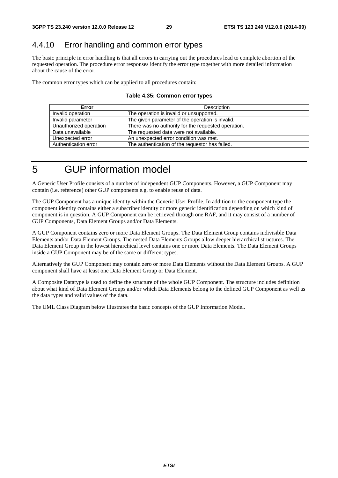### 4.4.10 Error handling and common error types

The basic principle in error handling is that all errors in carrying out the procedures lead to complete abortion of the requested operation. The procedure error responses identify the error type together with more detailed information about the cause of the error.

The common error types which can be applied to all procedures contain:

#### **Table 4.35: Common error types**

| Error                  | <b>Description</b>                                  |  |  |
|------------------------|-----------------------------------------------------|--|--|
| Invalid operation      | The operation is invalid or unsupported.            |  |  |
| Invalid parameter      | The given parameter of the operation is invalid.    |  |  |
| Unauthorized operation | There was no authority for the requested operation. |  |  |
| Data unavailable       | The requested data were not available.              |  |  |
| Unexpected error       | An unexpected error condition was met.              |  |  |
| Authentication error   | The authentication of the requestor has failed.     |  |  |

5 GUP information model

A Generic User Profile consists of a number of independent GUP Components. However, a GUP Component may contain (i.e. reference) other GUP components e.g. to enable reuse of data.

The GUP Component has a unique identity within the Generic User Profile. In addition to the component type the component identity contains either a subscriber identity or more generic identification depending on which kind of component is in question. A GUP Component can be retrieved through one RAF, and it may consist of a number of GUP Components, Data Element Groups and/or Data Elements.

A GUP Component contains zero or more Data Element Groups. The Data Element Group contains indivisible Data Elements and/or Data Element Groups. The nested Data Elements Groups allow deeper hierarchical structures. The Data Element Group in the lowest hierarchical level contains one or more Data Elements. The Data Element Groups inside a GUP Component may be of the same or different types.

Alternatively the GUP Component may contain zero or more Data Elements without the Data Element Groups. A GUP component shall have at least one Data Element Group or Data Element.

A Composite Datatype is used to define the structure of the whole GUP Component. The structure includes definition about what kind of Data Element Groups and/or which Data Elements belong to the defined GUP Component as well as the data types and valid values of the data.

The UML Class Diagram below illustrates the basic concepts of the GUP Information Model.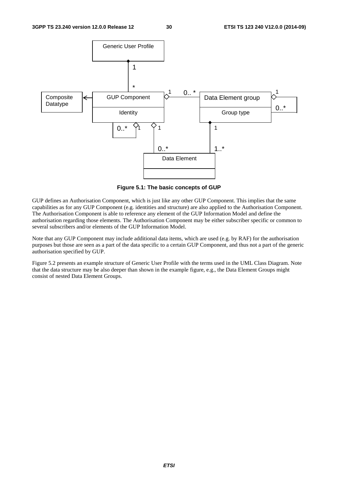

**Figure 5.1: The basic concepts of GUP** 

GUP defines an Authorisation Component, which is just like any other GUP Component. This implies that the same capabilities as for any GUP Component (e.g. identities and structure) are also applied to the Authorisation Component. The Authorisation Component is able to reference any element of the GUP Information Model and define the authorisation regarding those elements. The Authorisation Component may be either subscriber specific or common to several subscribers and/or elements of the GUP Information Model.

Note that any GUP Component may include additional data items, which are used (e.g. by RAF) for the authorisation purposes but those are seen as a part of the data specific to a certain GUP Component, and thus not a part of the generic authorisation specified by GUP.

Figure 5.2 presents an example structure of Generic User Profile with the terms used in the UML Class Diagram. Note that the data structure may be also deeper than shown in the example figure, e.g., the Data Element Groups might consist of nested Data Element Groups.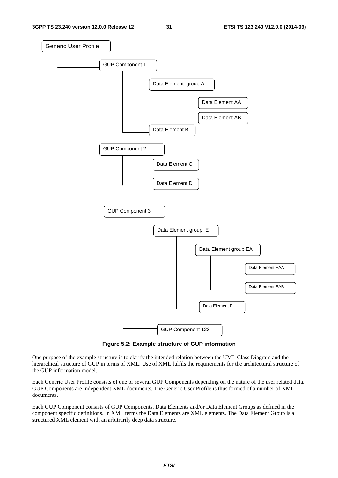

**Figure 5.2: Example structure of GUP information** 

One purpose of the example structure is to clarify the intended relation between the UML Class Diagram and the hierarchical structure of GUP in terms of XML. Use of XML fulfils the requirements for the architectural structure of the GUP information model.

Each Generic User Profile consists of one or several GUP Components depending on the nature of the user related data. GUP Components are independent XML documents. The Generic User Profile is thus formed of a number of XML documents.

Each GUP Component consists of GUP Components, Data Elements and/or Data Element Groups as defined in the component specific definitions. In XML terms the Data Elements are XML elements. The Data Element Group is a structured XML element with an arbitrarily deep data structure.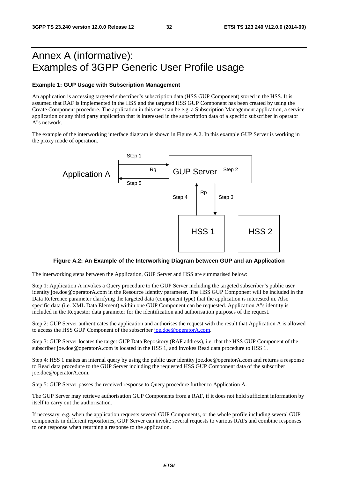# Annex A (informative): Examples of 3GPP Generic User Profile usage

#### **Example 1: GUP Usage with Subscription Management**

An application is accessing targeted subscriber"s subscription data (HSS GUP Component) stored in the HSS. It is assumed that RAF is implemented in the HSS and the targeted HSS GUP Component has been created by using the Create Component procedure. The application in this case can be e.g. a Subscription Management application, a service application or any third party application that is interested in the subscription data of a specific subscriber in operator A"s network.

The example of the interworking interface diagram is shown in Figure A.2. In this example GUP Server is working in the proxy mode of operation.



#### **Figure A.2: An Example of the Interworking Diagram between GUP and an Application**

The interworking steps between the Application, GUP Server and HSS are summarised below:

Step 1: Application A invokes a Query procedure to the GUP Server including the targeted subscriber"s public user identity joe.doe@operatorA.com in the Resource Identity parameter. The HSS GUP Component will be included in the Data Reference parameter clarifying the targeted data (component type) that the application is interested in. Also specific data (i.e. XML Data Element) within one GUP Component can be requested. Application A"s identity is included in the Requestor data parameter for the identification and authorisation purposes of the request.

Step 2: GUP Server authenticates the application and authorises the request with the result that Application A is allowed to access the HSS GUP Component of the subscriber [joe.doe@operatorA.com.](mailto:joe.doe@operatorA.com)

Step 3: GUP Server locates the target GUP Data Repository (RAF address), i.e. that the HSS GUP Component of the subscriber joe.doe@operatorA.com is located in the HSS 1, and invokes Read data procedure to HSS 1.

Step 4: HSS 1 makes an internal query by using the public user identity joe.doe@operatorA.com and returns a response to Read data procedure to the GUP Server including the requested HSS GUP Component data of the subscriber joe.doe@operatorA.com.

Step 5: GUP Server passes the received response to Query procedure further to Application A.

The GUP Server may retrieve authorisation GUP Components from a RAF, if it does not hold sufficient information by itself to carry out the authorisation.

If necessary, e.g. when the application requests several GUP Components, or the whole profile including several GUP components in different repositories, GUP Server can invoke several requests to various RAFs and combine responses to one response when returning a response to the application.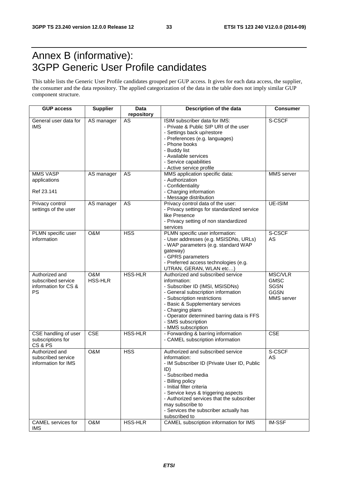# Annex B (informative): 3GPP Generic User Profile candidates

This table lists the Generic User Profile candidates grouped per GUP access. It gives for each data access, the supplier, the consumer and the data repository. The applied categorization of the data in the table does not imply similar GUP component structure.

| <b>GUP access</b>                                                         | <b>Supplier</b>       | <b>Data</b><br>repository | Description of the data                                                                                                                                                                                                                                                                                                                           | <b>Consumer</b>                                                                  |
|---------------------------------------------------------------------------|-----------------------|---------------------------|---------------------------------------------------------------------------------------------------------------------------------------------------------------------------------------------------------------------------------------------------------------------------------------------------------------------------------------------------|----------------------------------------------------------------------------------|
| General user data for<br><b>IMS</b>                                       | AS manager            | AS                        | ISIM subscriber data for IMS:<br>- Private & Public SIP URI of the user<br>- Settings back up/restore<br>- Preferences (e.g. languages)<br>- Phone books<br>- Buddy list<br>- Available services<br>- Service capabilities<br>- Active service profile                                                                                            | S-CSCF                                                                           |
| <b>MMS VASP</b><br>applications<br>Ref 23.141                             | AS manager            | <b>AS</b>                 | MMS application specific data:<br>- Authorization<br>- Confidentiality<br>- Charging information                                                                                                                                                                                                                                                  | MMS server                                                                       |
| Privacy control<br>settings of the user                                   | AS manager            | AS                        | - Message distribution<br>Privacy control data of the user:<br>- Privacy settings for standardized service<br>like Presence<br>- Privacy setting of non standardized<br>services                                                                                                                                                                  | <b>UE-ISIM</b>                                                                   |
| PLMN specific user<br>information                                         | O&M                   | <b>HSS</b>                | PLMN specific user information:<br>- User addresses (e.g. MSISDNs, URLs)<br>- WAP parameters (e.g. standard WAP<br>gateway)<br>- GPRS parameters<br>- Preferred access technologies (e.g.<br>UTRAN, GERAN, WLAN etc)                                                                                                                              | S-CSCF<br><b>AS</b>                                                              |
| Authorized and<br>subscribed service<br>information for CS &<br><b>PS</b> | O&M<br><b>HSS-HLR</b> | <b>HSS-HLR</b>            | Authorized and subscribed service<br>information:<br>- Subscriber ID (IMSI, MSISDNs)<br>- General subscription information<br>- Subscription restrictions<br>- Basic & Supplementary services<br>- Charging plans<br>- Operator determined barring data is FFS<br>- SMS subscription<br>- MMS subscription                                        | <b>MSC/VLR</b><br><b>GMSC</b><br><b>SGSN</b><br><b>GGSN</b><br><b>MMS</b> server |
| CSE handling of user<br>subscriptions for<br>CS&PS                        | CSE                   | <b>HSS-HLR</b>            | - Forwarding & barring information<br>- CAMEL subscription information                                                                                                                                                                                                                                                                            | <b>CSE</b>                                                                       |
| Authorized and<br>subscribed service<br>information for IMS               | O&M                   | <b>HSS</b>                | Authorized and subscribed service<br>information:<br>- IM Subscriber ID (Private User ID, Public<br>ID)<br>- Subscribed media<br>- Billing policy<br>- Initial filter criteria<br>- Service keys & triggering aspects<br>- Authorized services that the subscriber<br>may subscribe to<br>- Services the subscriber actually has<br>subscribed to | S-CSCF<br>AS                                                                     |
| <b>CAMEL</b> services for<br><b>IMS</b>                                   | O&M                   | HSS-HLR                   | CAMEL subscription information for IMS                                                                                                                                                                                                                                                                                                            | <b>IM-SSF</b>                                                                    |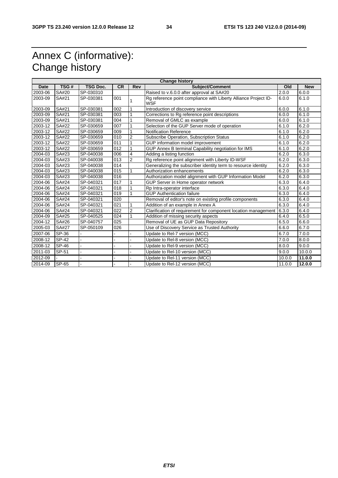# Annex C (informative): Change history

| <b>Change history</b> |                     |                 |                  |                |                                                                        |        |            |  |
|-----------------------|---------------------|-----------------|------------------|----------------|------------------------------------------------------------------------|--------|------------|--|
| <b>Date</b>           | TSG#                | <b>TSG Doc.</b> | <b>CR</b>        | Rev            | Subject/Comment                                                        | Old    | <b>New</b> |  |
| 2003-06               | SA#20               | SP-030310       |                  |                | Raised to v.6.0.0 after approval at SA#20                              | 2.0.0  | 6.0.0      |  |
| 2003-09               | SA#21               | SP-030381       | 001              |                | Rg reference point compliance with Liberty Alliance Project ID-<br>WSF | 6.0.0  | 6.1.0      |  |
| 2003-09               | SA#21               | SP-030381       | 002              | 1              | Introduction of discovery service                                      | 6.0.0  | 6.1.0      |  |
| 2003-09               | SA#21               | SP-030381       | 003              |                | Corrections to Rg reference point descriptions                         | 6.0.0  | 6.1.0      |  |
| 2003-09               | SA#21               | SP-030381       | 004              |                | Removal of GMLC as example                                             | 6.0.0  | 6.1.0      |  |
| 2003-12               | SA#22               | SP-030659       | 007              |                | Selection of the GUP Server mode of operation                          | 6.1.0  | 6.2.0      |  |
| 2003-12               | <b>SA#22</b>        | SP-030659       | 009              | 1              | <b>Notification Reference</b>                                          | 6.1.0  | 6.2.0      |  |
| 2003-12               | <b>SA#22</b>        | SP-030659       | 010              | $\overline{2}$ | Subscribe Operation, Subscription Status                               | 6.1.0  | 6.2.0      |  |
| 2003-12               | SA#22               | SP-030659       | 011              | 1              | GUP information model improvement                                      | 6.1.0  | 6.2.0      |  |
| 2003-12               | SA#22               | SP-030659       | 012              | 1              | GUP Annex B terminal Capability negotiation for IMS                    | 6.1.0  | 6.2.0      |  |
| 2004-03               | SA#23               | SP-040038       | 006              | $\overline{4}$ | Adding a listing function                                              | 6.2.0  | 6.3.0      |  |
| 2004-03               | SA#23               | SP-040038       | 013              | $\overline{2}$ | Rg reference point alignment with Liberty ID-WSF                       | 6.2.0  | 6.3.0      |  |
| 2004-03               | SA#23               | SP-040038       | 014              |                | Generalizing the subscriber identity term to resource identity         | 6.2.0  | 6.3.0      |  |
| 2004-03               | SA#23               | SP-040038       | 015              |                | Authorization enhancements                                             | 6.2.0  | 6.3.0      |  |
| 2004-03               | SA#23               | SP-040038       | $\overline{016}$ |                | Authorization model alignment with GUP Information Model               | 6.2.0  | 6.3.0      |  |
| 2004-06               | SA#24               | SP-040321       | 017              | 1              | GUP Server in Home operator network                                    | 6.3.0  | 6.4.0      |  |
| 2004-06               | <b>SA#24</b>        | SP-040321       | 018              |                | Rp Intra-operator interface                                            | 6.3.0  | 6.4.0      |  |
| 2004-06               | SA#24               | SP-040321       | 019              | 1              | <b>GUP Authentication failure</b>                                      | 6.3.0  | 6.4.0      |  |
| 2004-06               | SA#24               | SP-040321       | 020              |                | Removal of editor's note on existing profile components                | 6.3.0  | 6.4.0      |  |
| 2004-06               | SA#24               | SP-040321       | 021              | 1              | Addition of an example in Annex A                                      | 6.3.0  | 6.4.0      |  |
| 2004-06               | <b>SA#24</b>        | SP-040321       | 022              | $\overline{2}$ | Clarification of requirement for component location management         | 6.3.0  | 6.4.0      |  |
| 2004-09               | SA#25               | SP-040525       | 024              |                | Addition of missing security aspects                                   | 6.4.0  | 6.5.0      |  |
| 2004-12               | SA#26               | SP-040757       | 025              |                | Removal of UE as GUP Data Repository                                   | 6.5.0  | 6.6.0      |  |
| 2005-03               | <b>SA#27</b>        | SP-050109       | 026              |                | Use of Discovery Service as Trusted Authority                          | 6.6.0  | 6.7.0      |  |
| 2007-06               | SP-36               |                 |                  |                | Update to Rel-7 version (MCC)                                          | 6.7.0  | 7.0.0      |  |
| 2008-12               | SP-42               |                 |                  |                | Update to Rel-8 version (MCC)                                          | 7.0.0  | 8.0.0      |  |
| 2008-12               | SP-46               |                 |                  |                | Update to Rel-9 version (MCC)                                          | 8.0.0  | 9.0.0      |  |
| 2011-03               | SP-51               |                 |                  |                | Update to Rel-10 version (MCC)                                         | 9.0.0  | 10.0.0     |  |
| 2012-09               |                     |                 |                  |                | Update to Rel-11 version (MCC)                                         | 10.0.0 | 11.0.0     |  |
| 2014-09               | $\overline{SP}$ -65 |                 |                  |                | Update to Rel-12 version (MCC)                                         | 11.0.0 | 12.0.0     |  |